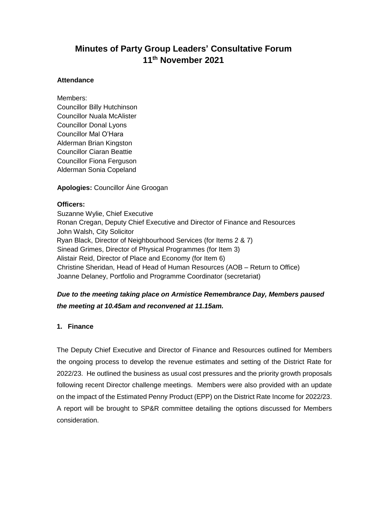# **Minutes of Party Group Leaders' Consultative Forum 11 th November 2021**

#### **Attendance**

Members: Councillor Billy Hutchinson Councillor Nuala McAlister Councillor Donal Lyons Councillor Mal O'Hara Alderman Brian Kingston Councillor Ciaran Beattie Councillor Fiona Ferguson Alderman Sonia Copeland

**Apologies:** Councillor Áine Groogan

# **Officers:**

Suzanne Wylie, Chief Executive Ronan Cregan, Deputy Chief Executive and Director of Finance and Resources John Walsh, City Solicitor Ryan Black, Director of Neighbourhood Services (for Items 2 & 7) Sinead Grimes, Director of Physical Programmes (for Item 3) Alistair Reid, Director of Place and Economy (for Item 6) Christine Sheridan, Head of Head of Human Resources (AOB – Return to Office) Joanne Delaney, Portfolio and Programme Coordinator (secretariat)

# *Due to the meeting taking place on Armistice Remembrance Day, Members paused the meeting at 10.45am and reconvened at 11.15am.*

# **1. Finance**

The Deputy Chief Executive and Director of Finance and Resources outlined for Members the ongoing process to develop the revenue estimates and setting of the District Rate for 2022/23. He outlined the business as usual cost pressures and the priority growth proposals following recent Director challenge meetings. Members were also provided with an update on the impact of the Estimated Penny Product (EPP) on the District Rate Income for 2022/23. A report will be brought to SP&R committee detailing the options discussed for Members consideration.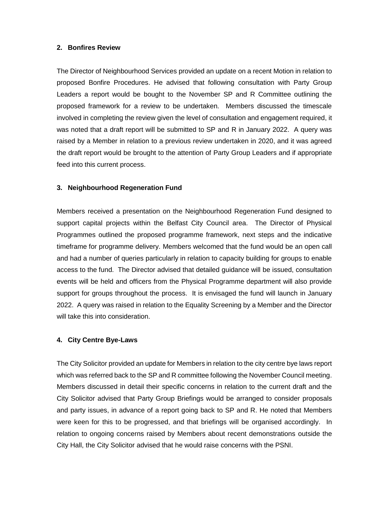#### **2. Bonfires Review**

The Director of Neighbourhood Services provided an update on a recent Motion in relation to proposed Bonfire Procedures. He advised that following consultation with Party Group Leaders a report would be bought to the November SP and R Committee outlining the proposed framework for a review to be undertaken. Members discussed the timescale involved in completing the review given the level of consultation and engagement required, it was noted that a draft report will be submitted to SP and R in January 2022. A query was raised by a Member in relation to a previous review undertaken in 2020, and it was agreed the draft report would be brought to the attention of Party Group Leaders and if appropriate feed into this current process.

# **3. Neighbourhood Regeneration Fund**

Members received a presentation on the Neighbourhood Regeneration Fund designed to support capital projects within the Belfast City Council area. The Director of Physical Programmes outlined the proposed programme framework, next steps and the indicative timeframe for programme delivery. Members welcomed that the fund would be an open call and had a number of queries particularly in relation to capacity building for groups to enable access to the fund. The Director advised that detailed guidance will be issued, consultation events will be held and officers from the Physical Programme department will also provide support for groups throughout the process. It is envisaged the fund will launch in January 2022. A query was raised in relation to the Equality Screening by a Member and the Director will take this into consideration.

# **4. City Centre Bye-Laws**

The City Solicitor provided an update for Members in relation to the city centre bye laws report which was referred back to the SP and R committee following the November Council meeting. Members discussed in detail their specific concerns in relation to the current draft and the City Solicitor advised that Party Group Briefings would be arranged to consider proposals and party issues, in advance of a report going back to SP and R. He noted that Members were keen for this to be progressed, and that briefings will be organised accordingly. In relation to ongoing concerns raised by Members about recent demonstrations outside the City Hall, the City Solicitor advised that he would raise concerns with the PSNI.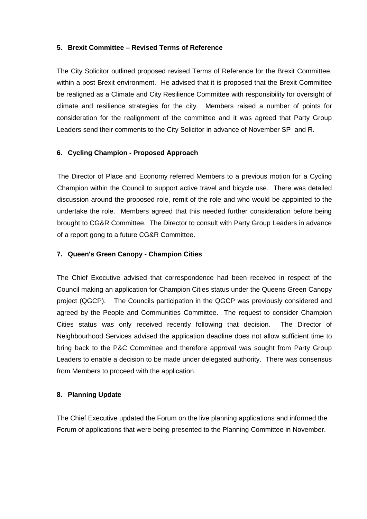#### **5. Brexit Committee – Revised Terms of Reference**

The City Solicitor outlined proposed revised Terms of Reference for the Brexit Committee, within a post Brexit environment. He advised that it is proposed that the Brexit Committee be realigned as a Climate and City Resilience Committee with responsibility for oversight of climate and resilience strategies for the city. Members raised a number of points for consideration for the realignment of the committee and it was agreed that Party Group Leaders send their comments to the City Solicitor in advance of November SP and R.

# **6. Cycling Champion - Proposed Approach**

The Director of Place and Economy referred Members to a previous motion for a Cycling Champion within the Council to support active travel and bicycle use. There was detailed discussion around the proposed role, remit of the role and who would be appointed to the undertake the role. Members agreed that this needed further consideration before being brought to CG&R Committee. The Director to consult with Party Group Leaders in advance of a report gong to a future CG&R Committee.

# **7. Queen's Green Canopy - Champion Cities**

The Chief Executive advised that correspondence had been received in respect of the Council making an application for Champion Cities status under the Queens Green Canopy project (QGCP). The Councils participation in the QGCP was previously considered and agreed by the People and Communities Committee. The request to consider Champion Cities status was only received recently following that decision. The Director of Neighbourhood Services advised the application deadline does not allow sufficient time to bring back to the P&C Committee and therefore approval was sought from Party Group Leaders to enable a decision to be made under delegated authority. There was consensus from Members to proceed with the application.

#### **8. Planning Update**

The Chief Executive updated the Forum on the live planning applications and informed the Forum of applications that were being presented to the Planning Committee in November.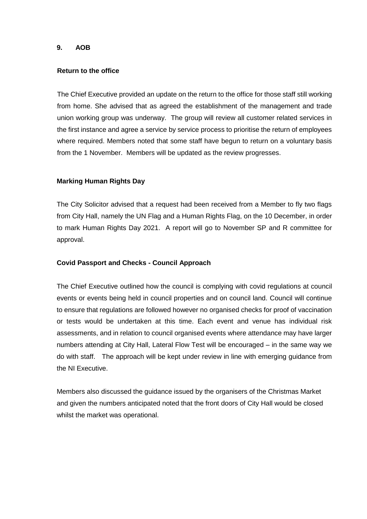#### **9. AOB**

#### **Return to the office**

The Chief Executive provided an update on the return to the office for those staff still working from home. She advised that as agreed the establishment of the management and trade union working group was underway. The group will review all customer related services in the first instance and agree a service by service process to prioritise the return of employees where required. Members noted that some staff have begun to return on a voluntary basis from the 1 November. Members will be updated as the review progresses.

#### **Marking Human Rights Day**

The City Solicitor advised that a request had been received from a Member to fly two flags from City Hall, namely the UN Flag and a Human Rights Flag, on the 10 December, in order to mark Human Rights Day 2021. A report will go to November SP and R committee for approval.

#### **Covid Passport and Checks - Council Approach**

The Chief Executive outlined how the council is complying with covid regulations at council events or events being held in council properties and on council land. Council will continue to ensure that regulations are followed however no organised checks for proof of vaccination or tests would be undertaken at this time. Each event and venue has individual risk assessments, and in relation to council organised events where attendance may have larger numbers attending at City Hall, Lateral Flow Test will be encouraged – in the same way we do with staff. The approach will be kept under review in line with emerging guidance from the NI Executive.

Members also discussed the guidance issued by the organisers of the Christmas Market and given the numbers anticipated noted that the front doors of City Hall would be closed whilst the market was operational.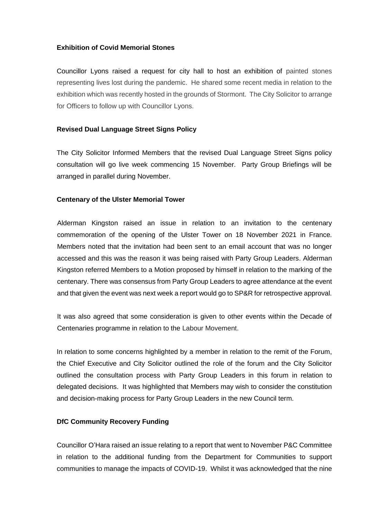# **Exhibition of Covid Memorial Stones**

Councillor Lyons raised a request for city hall to host an exhibition of painted stones representing lives lost during the pandemic. He shared some recent media in relation to the exhibition which was recently hosted in the grounds of Stormont. The City Solicitor to arrange for Officers to follow up with Councillor Lyons.

# **Revised Dual Language Street Signs Policy**

The City Solicitor Informed Members that the revised Dual Language Street Signs policy consultation will go live week commencing 15 November. Party Group Briefings will be arranged in parallel during November.

# **Centenary of the Ulster Memorial Tower**

Alderman Kingston raised an issue in relation to an invitation to the centenary commemoration of the opening of the Ulster Tower on 18 November 2021 in France. Members noted that the invitation had been sent to an email account that was no longer accessed and this was the reason it was being raised with Party Group Leaders. Alderman Kingston referred Members to a Motion proposed by himself in relation to the marking of the centenary. There was consensus from Party Group Leaders to agree attendance at the event and that given the event was next week a report would go to SP&R for retrospective approval.

It was also agreed that some consideration is given to other events within the Decade of Centenaries programme in relation to the Labour Movement.

In relation to some concerns highlighted by a member in relation to the remit of the Forum, the Chief Executive and City Solicitor outlined the role of the forum and the City Solicitor outlined the consultation process with Party Group Leaders in this forum in relation to delegated decisions. It was highlighted that Members may wish to consider the constitution and decision-making process for Party Group Leaders in the new Council term.

#### **DfC Community Recovery Funding**

Councillor O'Hara raised an issue relating to a report that went to November P&C Committee in relation to the additional funding from the Department for Communities to support communities to manage the impacts of COVID-19. Whilst it was acknowledged that the nine